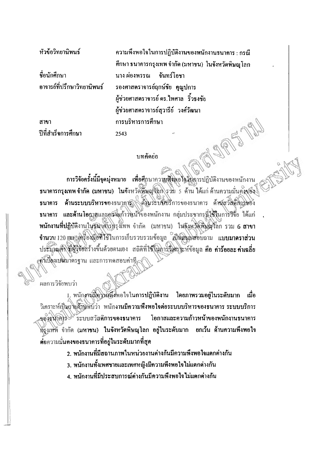หัวข้อวิทยาบิพบร์

ชื่อนักศึกษา อาจารย์ที่ปรึกษาวิทยานิพนธ์

สาขา ปีที่สำเร็จการศึกษา ความพึงพอใจในการปฏิบัติงานของพนักงานธนาคาร : กรณี ์ ศึกษา ธนาคารกรุงเทพ จำกัด (มหาชน) ในจังหวัดพิษณฺโลก บาง ผ่องพรรณ ถับทร์โคชา รองศาสตราจารย์ฤกษ์ชัย คุณูปการ ผู้ช่วยศาสตราจารย์ คร.ไพศาล \_ ริ้วธงชัย ผู้ช่วยศาสตราจารย์สุวารีย์ วงศ์วัฒนา การบริหารการศึกษา 2543

## บทคัดย่อ

การวิจัยครั้งนี้มีจุดมุ่งหมาย เพื่อศึกษาความพึงพอใจในการปฏิบัติงานของพนักงาน ธนาคารกรุงเทพ จำกัด (มหาชน) ในจังหวัดพิษยุ(จิก) รวม 5 ค้าน ได้แก่ ค้านกวามมั่นคงของ ธนาคาร ค้านระบบบริหารของธนาการ คือมระบบชีวิการของธนาคาร ค้านุสวัสดิ์การของ ธนาคาร และค้านโอกาสและคู่สมท้าวหน้าของพนักงาน กลุ่มประชากรที่ใช้ในการวิจัย ได้แก่ พนักงานที่ปฏิบัติงานในชมิงสังรธรมีทพ จำกัด (มหาชน) ในจังหวัดพิษัตร์โลก รวม 6 สาขา จำนวน 120 mrs ดีรื่องมือที่ใช้ในการเก็บรวบรวมข้อมูล ผู้ปั๊นติมมิตอบถาม แบบมาตราส่วน ประมวณศักร์ที่ผู้จับสร้างขึ้นด้วยตนเอง สถิติที่ใช้ในทาร์วิเศราะห์ข้อมูล คือ ค่าร้อยละค่ำเฉลี่ย ∙คำ็เป็นงเบนมาตรฐาน และการทคสอบค่าที∠

ผลการวิจัยพบว่า

1. พนักงามมีความพึงพอใจในการปฏิบัติงาน โดยภาพรวมอยู่ในระดับมาก เมื่อ วิเคราะห์เป็นรพิตัญหับว่า พนักงานมีความพึงพอใจต่อระบบบริหารของธนาคาร ระบบบริการ มองธนาคิงระชั่วระบบสวัสดิการของธนาคาร โอกาสและความก้าวหน้าของพนักงานธนาคาร กรุงเหพ์ จำกัด (มหาชน) ในจังหวัดพิษณุโลก อยู่ในระคับมาก ยกเว้น ค้านความพึงพอใจ ค์อความมั่นคงของธนาคารที่อยู่ในระดับมากที่สุด

- 2. พนักงานที่มีสถานภาพในหน่วยงานต่างกันมีความพึงพอใจแตกต่างกัน
- ่ 3. พนักงานทั้งเพศชายและเพศหญิงมีความพึงพอใจไม่แตกต่างกัน
- ึ่ง พบักงานที่มีประสบการณ์ต่างกันมีความพึงพอใจไม่แตกต่างกัน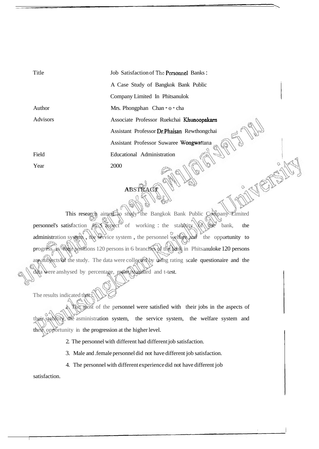Title Author Advisors Field Year Job Satisfaction of **Thc** Personnel Banks : A Case Study of Bangkok Bank Public Company Limited In Phitsanulok Mrs. Phongphan Chan - o - cha Associate Professor Ruekchai Khunoopakarn Assistant Professor Dr.Phaisan Rewthongchai Assistant Professor Suwaree Wongwattana Educational Administration 2000

This research aimed to study the Bangkok Bank Public Company Limited personnel's satisfaction  $\widehat{m}$  sapect of working : the stabitity of the bank, the administration system, the service system, the personnel welfare and the opportunity to progress in their positions 120 persons in 6 branches of the bank in Phitsanuloke 120 persons are subjects of the study. The data were collected by using rating scale questionaire and the data were anshysed by percentage, mean, standard and t-test.

**ABSTRACT** 

The results indicated that :

1. The most of the personnel were satisfied with their jobs in the aspects of their stabitity, the asministration system, the service system, the welfare system and their opportunity in the progression at the higher level.

2. The personnel with different had different job satisfaction.

3. Male and .female personnel did not have different job satisfaction.

4. The personnel with different experience did not have different job

satisfaction.